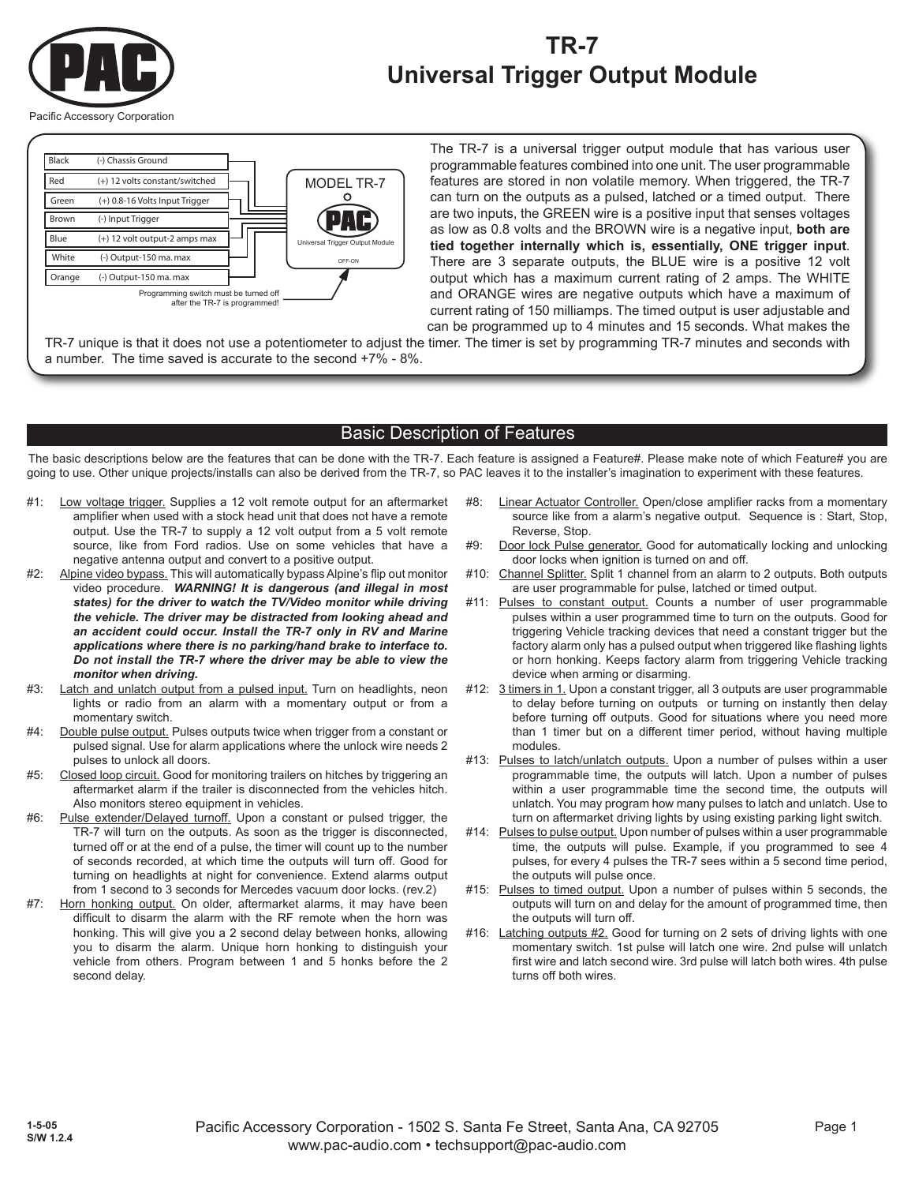

# **TR-7 Universal Trigger Output Module**

Pacific Accessory Corporation



The TR-7 is a universal trigger output module that has various user programmable features combined into one unit. The user programmable features are stored in non volatile memory. When triggered, the TR-7 can turn on the outputs as a pulsed, latched or a timed output. There are two inputs, the GREEN wire is a positive input that senses voltages as low as 0.8 volts and the BROWN wire is a negative input, **both are tied together internally which is, essentially, ONE trigger input**. There are 3 separate outputs, the BLUE wire is a positive 12 volt output which has a maximum current rating of 2 amps. The WHITE and ORANGE wires are negative outputs which have a maximum of current rating of 150 milliamps. The timed output is user adjustable and can be programmed up to 4 minutes and 15 seconds. What makes the

TR-7 unique is that it does not use a potentiometer to adjust the timer. The timer is set by programming TR-7 minutes and seconds with a number. The time saved is accurate to the second +7% - 8%.

#### Basic Description of Features

The basic descriptions below are the features that can be done with the TR-7. Each feature is assigned a Feature#. Please make note of which Feature# you are going to use. Other unique projects/installs can also be derived from the TR-7, so PAC leaves it to the installer's imagination to experiment with these features.

- #1: Low voltage trigger. Supplies a 12 volt remote output for an aftermarket amplifier when used with a stock head unit that does not have a remote output. Use the TR-7 to supply a 12 volt output from a 5 volt remote source, like from Ford radios. Use on some vehicles that have a negative antenna output and convert to a positive output.
- #2: Alpine video bypass. This will automatically bypass Alpine's flip out monitor video procedure. *WARNING! It is dangerous (and illegal in most states) for the driver to watch the TV/Video monitor while driving the vehicle. The driver may be distracted from looking ahead and an accident could occur. Install the TR-7 only in RV and Marine applications where there is no parking/hand brake to interface to. Do not install the TR-7 where the driver may be able to view the monitor when driving.*
- #3: Latch and unlatch output from a pulsed input. Turn on headlights, neon lights or radio from an alarm with a momentary output or from a momentary switch.
- #4: Double pulse output. Pulses outputs twice when trigger from a constant or pulsed signal. Use for alarm applications where the unlock wire needs 2 pulses to unlock all doors.
- #5: Closed loop circuit. Good for monitoring trailers on hitches by triggering an aftermarket alarm if the trailer is disconnected from the vehicles hitch. Also monitors stereo equipment in vehicles.
- #6: Pulse extender/Delayed turnoff. Upon a constant or pulsed trigger, the TR-7 will turn on the outputs. As soon as the trigger is disconnected, turned off or at the end of a pulse, the timer will count up to the number of seconds recorded, at which time the outputs will turn off. Good for turning on headlights at night for convenience. Extend alarms output from 1 second to 3 seconds for Mercedes vacuum door locks. (rev.2)
- #7: Horn honking output. On older, aftermarket alarms, it may have been difficult to disarm the alarm with the RF remote when the horn was honking. This will give you a 2 second delay between honks, allowing you to disarm the alarm. Unique horn honking to distinguish your vehicle from others. Program between 1 and 5 honks before the 2 second delay.
- #8: Linear Actuator Controller. Open/close amplifier racks from a momentary source like from a alarm's negative output. Sequence is : Start, Stop, Reverse, Stop.
- #9: Door lock Pulse generator. Good for automatically locking and unlocking door locks when ignition is turned on and off.
- #10: Channel Splitter. Split 1 channel from an alarm to 2 outputs. Both outputs are user programmable for pulse, latched or timed output.
- #11: Pulses to constant output. Counts a number of user programmable pulses within a user programmed time to turn on the outputs. Good for triggering Vehicle tracking devices that need a constant trigger but the factory alarm only has a pulsed output when triggered like flashing lights or horn honking. Keeps factory alarm from triggering Vehicle tracking device when arming or disarming.
- #12: 3 timers in 1. Upon a constant trigger, all 3 outputs are user programmable to delay before turning on outputs or turning on instantly then delay before turning off outputs. Good for situations where you need more than 1 timer but on a different timer period, without having multiple modules.
- #13: Pulses to latch/unlatch outputs. Upon a number of pulses within a user programmable time, the outputs will latch. Upon a number of pulses within a user programmable time the second time, the outputs will unlatch. You may program how many pulses to latch and unlatch. Use to turn on aftermarket driving lights by using existing parking light switch.
- #14: Pulses to pulse output. Upon number of pulses within a user programmable time, the outputs will pulse. Example, if you programmed to see 4 pulses, for every 4 pulses the TR-7 sees within a 5 second time period, the outputs will pulse once.
- #15: Pulses to timed output. Upon a number of pulses within 5 seconds, the outputs will turn on and delay for the amount of programmed time, then the outputs will turn off.
- #16: Latching outputs #2. Good for turning on 2 sets of driving lights with one momentary switch. 1st pulse will latch one wire. 2nd pulse will unlatch first wire and latch second wire. 3rd pulse will latch both wires. 4th pulse turns off both wires.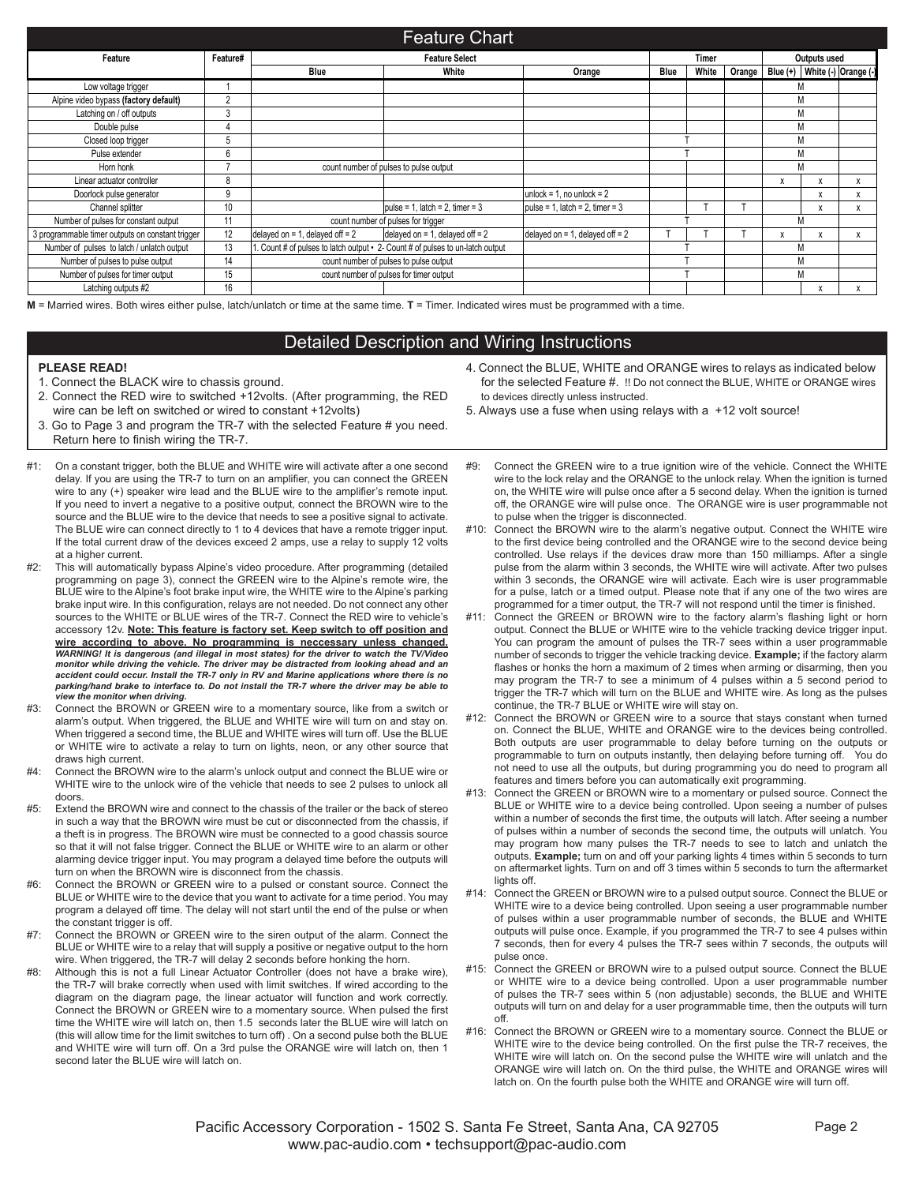|                                                  |          |                                   | <b>Feature Chart</b>                                                          |                                   |      |              |        |   |                                     |  |  |
|--------------------------------------------------|----------|-----------------------------------|-------------------------------------------------------------------------------|-----------------------------------|------|--------------|--------|---|-------------------------------------|--|--|
| Feature                                          | Feature# | <b>Feature Select</b>             |                                                                               |                                   |      | <b>Timer</b> |        |   | Outputs used                        |  |  |
|                                                  |          | <b>Blue</b>                       | White                                                                         | Orange                            | Blue | White        | Orange |   | Blue $(+)$ White $(-)$ Orange $(-)$ |  |  |
| Low voltage trigger                              |          |                                   |                                                                               |                                   |      |              |        |   | М                                   |  |  |
| Alpine video bypass (factory default)            | 2        |                                   |                                                                               |                                   |      |              |        |   | M                                   |  |  |
| Latching on / off outputs                        | 3        |                                   |                                                                               |                                   |      |              |        |   | M                                   |  |  |
| Double pulse                                     |          |                                   |                                                                               |                                   |      |              |        |   | M                                   |  |  |
| Closed loop trigger                              | b        |                                   |                                                                               |                                   |      |              |        |   | M                                   |  |  |
| Pulse extender                                   | 6        |                                   |                                                                               |                                   |      |              |        |   | M                                   |  |  |
| Horn honk                                        |          |                                   | count number of pulses to pulse output                                        |                                   |      |              |        | M |                                     |  |  |
| Linear actuator controller                       | 8        |                                   |                                                                               |                                   |      |              |        | X | $\mathbf v$                         |  |  |
| Doorlock pulse generator                         | 9        |                                   |                                                                               | unlock = 1, no unlock = $2$       |      |              |        |   |                                     |  |  |
| Channel splitter                                 | 10       |                                   | $ pulse = 1$ , latch = 2, timer = 3                                           | pulse = 1, latch = 2, timer = 3   |      |              |        |   | X                                   |  |  |
| Number of pulses for constant output             | 11       |                                   | count number of pulses for trigger                                            |                                   |      |              |        |   | М                                   |  |  |
| 3 programmable timer outputs on constant trigger | 12       | delayed on = 1, delayed off = $2$ | delayed on = 1, delayed off = $2$                                             | delayed on = 1, delayed off = $2$ |      |              |        | X |                                     |  |  |
| Number of pulses to latch / unlatch output       | 13       |                                   | . Count # of pulses to latch output • 2- Count # of pulses to un-latch output |                                   |      |              |        | M |                                     |  |  |
| Number of pulses to pulse output                 | 14       |                                   | count number of pulses to pulse output                                        |                                   |      |              |        |   | M                                   |  |  |
| Number of pulses for timer output                | 15       |                                   | count number of pulses for timer output                                       |                                   |      |              |        | M |                                     |  |  |
| Latching outputs #2                              | 16       |                                   |                                                                               |                                   |      |              |        |   |                                     |  |  |

**M** = Married wires. Both wires either pulse, latch/unlatch or time at the same time. **T** = Timer. Indicated wires must be programmed with a time.

### Detailed Description and Wiring Instructions

#### **PLEASE READ!**

- 1. Connect the BLACK wire to chassis ground.
- 2. Connect the RED wire to switched +12volts. (After programming, the RED wire can be left on switched or wired to constant +12volts)
- 3. Go to Page 3 and program the TR-7 with the selected Feature # you need. Return here to finish wiring the TR-7.
- #1: On a constant trigger, both the BLUE and WHITE wire will activate after a one second delay. If you are using the TR-7 to turn on an amplifier, you can connect the GREEN wire to any (+) speaker wire lead and the BLUE wire to the amplifier's remote input. If you need to invert a negative to a positive output, connect the BROWN wire to the source and the BLUE wire to the device that needs to see a positive signal to activate. The BLUE wire can connect directly to 1 to 4 devices that have a remote trigger input. If the total current draw of the devices exceed 2 amps, use a relay to supply 12 volts at a higher current.
- #2: This will automatically bypass Alpine's video procedure. After programming (detailed programming on page 3), connect the GREEN wire to the Alpine's remote wire, the BLUE wire to the Alpine's foot brake input wire, the WHITE wire to the Alpine's parking brake input wire. In this configuration, relays are not needed. Do not connect any other sources to the WHITE or BLUE wires of the TR-7. Connect the RED wire to vehicle's accessory 12v. **Note: This feature is factory set. Keep switch to off position and wire according to above. No programming is neccessary unless changed.** *WARNING! It is dangerous (and illegal in most states) for the driver to watch the TV/Video monitor while driving the vehicle. The driver may be distracted from looking ahead and an accident could occur. Install the TR-7 only in RV and Marine applications where there is no parking/hand brake to interface to. Do not install the TR-7 where the driver may be able to view the monitor when driving.*
- #3: Connect the BROWN or GREEN wire to a momentary source, like from a switch or alarm's output. When triggered, the BLUE and WHITE wire will turn on and stay on. When triggered a second time, the BLUE and WHITE wires will turn off. Use the BLUE or WHITE wire to activate a relay to turn on lights, neon, or any other source that draws high current.
- Connect the BROWN wire to the alarm's unlock output and connect the BLUE wire or WHITE wire to the unlock wire of the vehicle that needs to see 2 pulses to unlock all doors.
- #5: Extend the BROWN wire and connect to the chassis of the trailer or the back of stereo in such a way that the BROWN wire must be cut or disconnected from the chassis, if a theft is in progress. The BROWN wire must be connected to a good chassis source so that it will not false trigger. Connect the BLUE or WHITE wire to an alarm or other alarming device trigger input. You may program a delayed time before the outputs will turn on when the BROWN wire is disconnect from the chassis.
- #6: Connect the BROWN or GREEN wire to a pulsed or constant source. Connect the BLUE or WHITE wire to the device that you want to activate for a time period. You may program a delayed off time. The delay will not start until the end of the pulse or when the constant trigger is off.
- #7: Connect the BROWN or GREEN wire to the siren output of the alarm. Connect the BLUE or WHITE wire to a relay that will supply a positive or negative output to the horn wire. When triggered, the TR-7 will delay 2 seconds before honking the horn.
- #8: Although this is not a full Linear Actuator Controller (does not have a brake wire), the TR-7 will brake correctly when used with limit switches. If wired according to the diagram on the diagram page, the linear actuator will function and work correctly. Connect the BROWN or GREEN wire to a momentary source. When pulsed the first time the WHITE wire will latch on, then 1.5 seconds later the BLUE wire will latch on (this will allow time for the limit switches to turn off) . On a second pulse both the BLUE and WHITE wire will turn off. On a 3rd pulse the ORANGE wire will latch on, then 1 second later the BLUE wire will latch on.
- 4. Connect the BLUE, WHITE and ORANGE wires to relays as indicated below for the selected Feature #. !! Do not connect the BLUE, WHITE or ORANGE wires to devices directly unless instructed.
- 5. Always use a fuse when using relays with a +12 volt source!
- #9: Connect the GREEN wire to a true ignition wire of the vehicle. Connect the WHITE wire to the lock relay and the ORANGE to the unlock relay. When the ignition is turned on, the WHITE wire will pulse once after a 5 second delay. When the ignition is turned off, the ORANGE wire will pulse once. The ORANGE wire is user programmable not to pulse when the trigger is disconnected.
- #10: Connect the BROWN wire to the alarm's negative output. Connect the WHITE wire to the first device being controlled and the ORANGE wire to the second device being controlled. Use relays if the devices draw more than 150 milliamps. After a single pulse from the alarm within 3 seconds, the WHITE wire will activate. After two pulses within 3 seconds, the ORANGE wire will activate. Each wire is user programmable for a pulse, latch or a timed output. Please note that if any one of the two wires are programmed for a timer output, the TR-7 will not respond until the timer is finished.
- #11: Connect the GREEN or BROWN wire to the factory alarm's flashing light or horn output. Connect the BLUE or WHITE wire to the vehicle tracking device trigger input. You can program the amount of pulses the TR-7 sees within a user programmable number of seconds to trigger the vehicle tracking device. **Example;** if the factory alarm flashes or honks the horn a maximum of 2 times when arming or disarming, then you may program the TR-7 to see a minimum of 4 pulses within a 5 second period to trigger the TR-7 which will turn on the BLUE and WHITE wire. As long as the pulses continue, the TR-7 BLUE or WHITE wire will stay on.
- #12: Connect the BROWN or GREEN wire to a source that stays constant when turned on. Connect the BLUE, WHITE and ORANGE wire to the devices being controlled. Both outputs are user programmable to delay before turning on the outputs or programmable to turn on outputs instantly, then delaying before turning off. You do not need to use all the outputs, but during programming you do need to program all features and timers before you can automatically exit programming.
- #13: Connect the GREEN or BROWN wire to a momentary or pulsed source. Connect the BLUE or WHITE wire to a device being controlled. Upon seeing a number of pulses within a number of seconds the first time, the outputs will latch. After seeing a number of pulses within a number of seconds the second time, the outputs will unlatch. You may program how many pulses the TR-7 needs to see to latch and unlatch the outputs. **Example;** turn on and off your parking lights 4 times within 5 seconds to turn on aftermarket lights. Turn on and off 3 times within 5 seconds to turn the aftermarket lights off.
- #14: Connect the GREEN or BROWN wire to a pulsed output source. Connect the BLUE or WHITE wire to a device being controlled. Upon seeing a user programmable number of pulses within a user programmable number of seconds, the BLUE and WHITE outputs will pulse once. Example, if you programmed the TR-7 to see 4 pulses within 7 seconds, then for every 4 pulses the TR-7 sees within 7 seconds, the outputs will pulse once.
- #15: Connect the GREEN or BROWN wire to a pulsed output source. Connect the BLUE or WHITE wire to a device being controlled. Upon a user programmable number of pulses the TR-7 sees within 5 (non adjustable) seconds, the BLUE and WHITE outputs will turn on and delay for a user programmable time, then the outputs will turn off.
- #16: Connect the BROWN or GREEN wire to a momentary source. Connect the BLUE or WHITE wire to the device being controlled. On the first pulse the TR-7 receives, the WHITE wire will latch on. On the second pulse the WHITE wire will unlatch and the ORANGE wire will latch on. On the third pulse, the WHITE and ORANGE wires will latch on. On the fourth pulse both the WHITE and ORANGE wire will turn off.

Pacific Accessory Corporation - 1502 S. Santa Fe Street, Santa Ana, CA 92705 Page 2 www.pac-audio.com • techsupport@pac-audio.com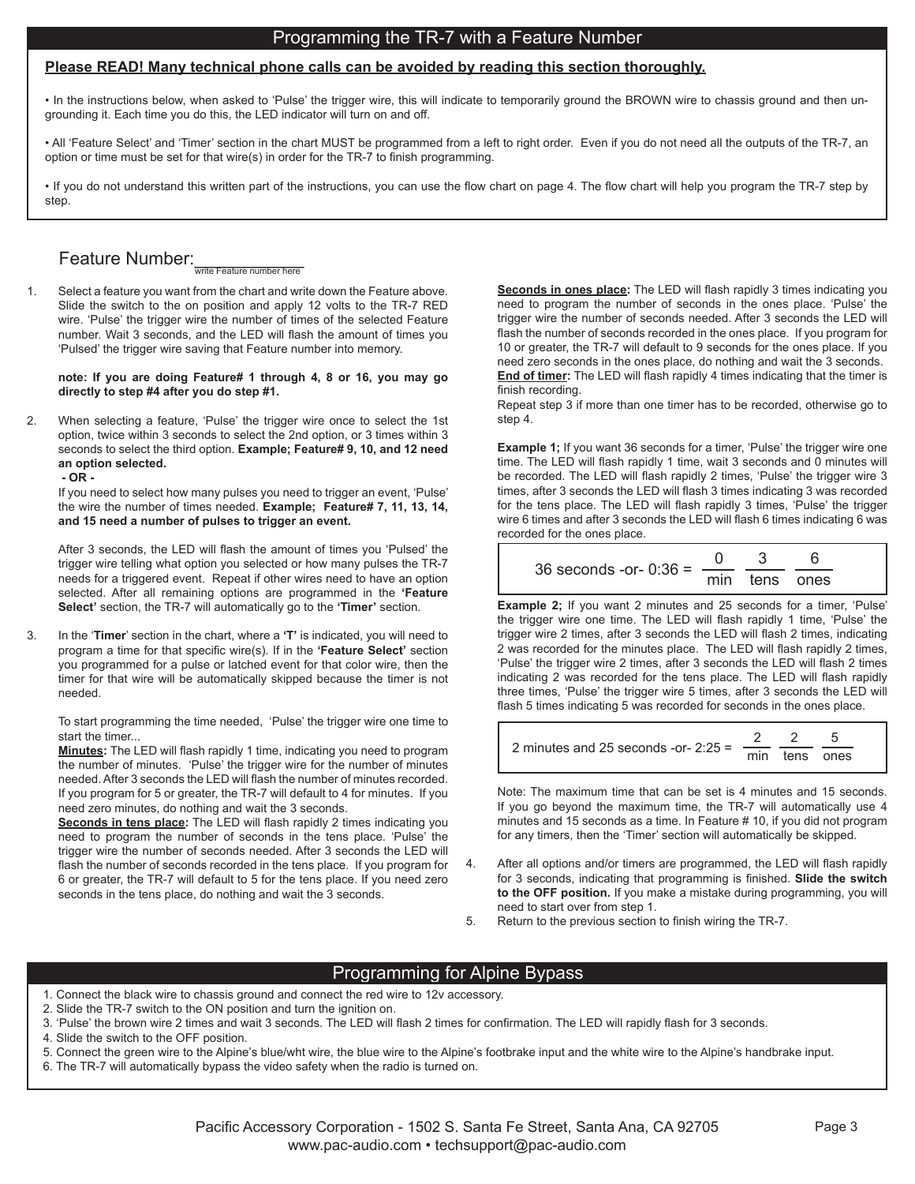## Programming the TR-7 with a Feature Number

#### **Please READ! Many technical phone calls can be avoided by reading this section thoroughly.**

• In the instructions below, when asked to 'Pulse' the trigger wire, this will indicate to temporarily ground the BROWN wire to chassis ground and then ungrounding it. Each time you do this, the LED indicator will turn on and off.

• All 'Feature Select' and 'Timer' section in the chart MUST be programmed from a left to right order. Even if you do not need all the outputs of the TR-7, an option or time must be set for that wire(s) in order for the TR-7 to finish programming.

• If you do not understand this written part of the instructions, you can use the flow chart on page 4. The flow chart will help you program the TR-7 step by step.

# Feature Number:<br>WITHE FEATURE THE THE THE RET

1. Select a feature you want from the chart and write down the Feature above. Slide the switch to the on position and apply 12 volts to the TR-7 RED wire. 'Pulse' the trigger wire the number of times of the selected Feature number. Wait 3 seconds, and the LED will flash the amount of times you 'Pulsed' the trigger wire saving that Feature number into memory.

**note: If you are doing Feature# 1 through 4, 8 or 16, you may go directly to step #4 after you do step #1.**

2. When selecting a feature, 'Pulse' the trigger wire once to select the 1st option, twice within 3 seconds to select the 2nd option, or 3 times within 3 seconds to select the third option. **Example; Feature# 9, 10, and 12 need an option selected.**

 **- OR -**

 If you need to select how many pulses you need to trigger an event, 'Pulse' the wire the number of times needed. **Example; Feature# 7, 11, 13, 14, and 15 need a number of pulses to trigger an event.**

 After 3 seconds, the LED will flash the amount of times you 'Pulsed' the trigger wire telling what option you selected or how many pulses the TR-7 needs for a triggered event. Repeat if other wires need to have an option selected. After all remaining options are programmed in the **'Feature Select'** section, the TR-7 will automatically go to the **'Timer'** section.

3. In the '**Timer**' section in the chart, where a **'T'** is indicated, you will need to program a time for that specific wire(s). If in the **'Feature Select'** section you programmed for a pulse or latched event for that color wire, then the timer for that wire will be automatically skipped because the timer is not needed.

 To start programming the time needed, 'Pulse' the trigger wire one time to start the timer...

**Minutes:** The LED will flash rapidly 1 time, indicating you need to program the number of minutes. 'Pulse' the trigger wire for the number of minutes needed. After 3 seconds the LED will flash the number of minutes recorded. If you program for 5 or greater, the TR-7 will default to 4 for minutes. If you need zero minutes, do nothing and wait the 3 seconds.

**Seconds in tens place:** The LED will flash rapidly 2 times indicating you need to program the number of seconds in the tens place. 'Pulse' the trigger wire the number of seconds needed. After 3 seconds the LED will flash the number of seconds recorded in the tens place. If you program for 6 or greater, the TR-7 will default to 5 for the tens place. If you need zero seconds in the tens place, do nothing and wait the 3 seconds.

**Seconds in ones place:** The LED will flash rapidly 3 times indicating you need to program the number of seconds in the ones place. 'Pulse' the trigger wire the number of seconds needed. After 3 seconds the LED will flash the number of seconds recorded in the ones place. If you program for 10 or greater, the TR-7 will default to 9 seconds for the ones place. If you need zero seconds in the ones place, do nothing and wait the 3 seconds. **End of timer:** The LED will flash rapidly 4 times indicating that the timer is finish recording.

 Repeat step 3 if more than one timer has to be recorded, otherwise go to step 4.

**Example 1;** If you want 36 seconds for a timer, 'Pulse' the trigger wire one time. The LED will flash rapidly 1 time, wait 3 seconds and 0 minutes will be recorded. The LED will flash rapidly 2 times, 'Pulse' the trigger wire 3 times, after 3 seconds the LED will flash 3 times indicating 3 was recorded for the tens place. The LED will flash rapidly 3 times, 'Pulse' the trigger wire 6 times and after 3 seconds the LED will flash 6 times indicating 6 was recorded for the ones place.

| 36 seconds -or- $0:36 =$ — |               |  |
|----------------------------|---------------|--|
|                            | min tens ones |  |

**Example 2;** If you want 2 minutes and 25 seconds for a timer, 'Pulse' the trigger wire one time. The LED will flash rapidly 1 time, 'Pulse' the trigger wire 2 times, after 3 seconds the LED will flash 2 times, indicating 2 was recorded for the minutes place. The LED will flash rapidly 2 times, 'Pulse' the trigger wire 2 times, after 3 seconds the LED will flash 2 times indicating 2 was recorded for the tens place. The LED will flash rapidly three times, 'Pulse' the trigger wire 5 times, after 3 seconds the LED will flash 5 times indicating 5 was recorded for seconds in the ones place.

| 2 minutes and 25 seconds -or- $2:25 = -$ |  |               |
|------------------------------------------|--|---------------|
|                                          |  | min tens ones |

 Note: The maximum time that can be set is 4 minutes and 15 seconds. If you go beyond the maximum time, the TR-7 will automatically use 4 minutes and 15 seconds as a time. In Feature # 10, if you did not program for any timers, then the 'Timer' section will automatically be skipped.

4. After all options and/or timers are programmed, the LED will flash rapidly for 3 seconds, indicating that programming is finished. **Slide the switch to the OFF position.** If you make a mistake during programming, you will need to start over from step 1.

5. Return to the previous section to finish wiring the TR-7.

#### Programming for Alpine Bypass

1. Connect the black wire to chassis ground and connect the red wire to 12v accessory.

2. Slide the TR-7 switch to the ON position and turn the ignition on.

3. 'Pulse' the brown wire 2 times and wait 3 seconds. The LED will flash 2 times for confirmation. The LED will rapidly flash for 3 seconds.

4. Slide the switch to the OFF position.

5. Connect the green wire to the Alpine's blue/wht wire, the blue wire to the Alpine's footbrake input and the white wire to the Alpine's handbrake input.

6. The TR-7 will automatically bypass the video safety when the radio is turned on.